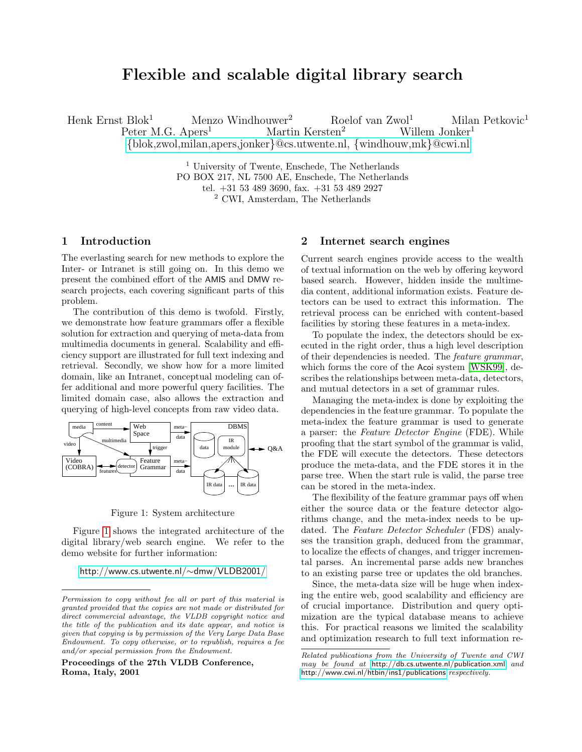# Flexible and scalable digital library search

Henk Ernst Blok<sup>1</sup> Menzo Windhouwer<sup>2</sup> Roelof van Zwol<sup>1</sup> Milan Petkovic<sup>1</sup> Peter M.G. Apers<sup>1</sup> Martin Kersten<sup>2</sup> Willem Jonker<sup>1</sup> Peter M.G. Apers<sup>1</sup> Martin Kersten<sup>2</sup> Willem Jonker<sup>1</sup> {[blok,zwol,milan,apers,jonker](mailto:blok@cs.utwente.nl,windhouw@cwi.nl,zwol@cs.utwente.nl,milan@cs.utwente.nl,apers@cs.utwente.nl,mk@cwi.nl,jonker@cs.utwente.nl)}@cs.utwente.nl, {windhouw,mk}@cwi.nl

> <sup>1</sup> University of Twente, Enschede, The Netherlands PO BOX 217, NL 7500 AE, Enschede, The Netherlands tel. +31 53 489 3690, fax. +31 53 489 2927 <sup>2</sup> CWI, Amsterdam, The Netherlands

# 1 Introduction

The everlasting search for new methods to explore the Inter- or Intranet is still going on. In this demo we present the combined effort of the AMIS and DMW research projects, each covering significant parts of this problem.

The contribution of this demo is twofold. Firstly, we demonstrate how feature grammars offer a flexible solution for extraction and querying of meta-data from multimedia documents in general. Scalability and efficiency support are illustrated for full text indexing and retrieval. Secondly, we show how for a more limited domain, like an Intranet, conceptual modeling can offer additional and more powerful query facilities. The limited domain case, also allows the extraction and querying of high-level concepts from raw video data.



<span id="page-0-0"></span>Figure 1: System architecture

Figure [1](#page-0-0) shows the integrated architecture of the digital library/web search engine. We refer to the demo website for further information:

#### [http://www.cs.utwente.nl/](http://www.cs.utwente.nl/~dmw/VLDB2001/)∼dmw/VLDB2001/

Proceedings of the 27th VLDB Conference, Roma, Italy, 2001

### 2 Internet search engines

Current search engines provide access to the wealth of textual information on the web by offering keyword based search. However, hidden inside the multimedia content, additional information exists. Feature detectors can be used to extract this information. The retrieval process can be enriched with content-based facilities by storing these features in a meta-index.

To populate the index, the detectors should be executed in the right order, thus a high level description of their dependencies is needed. The feature grammar, which forms the core of the Acoi system [\[WSK99\]](#page-1-0), describes the relationships between meta-data, detectors, and mutual detectors in a set of grammar rules.

Managing the meta-index is done by exploiting the dependencies in the feature grammar. To populate the meta-index the feature grammar is used to generate a parser: the Feature Detector Engine (FDE). While proofing that the start symbol of the grammar is valid, the FDE will execute the detectors. These detectors produce the meta-data, and the FDE stores it in the parse tree. When the start rule is valid, the parse tree can be stored in the meta-index.

The flexibility of the feature grammar pays off when either the source data or the feature detector algorithms change, and the meta-index needs to be updated. The Feature Detector Scheduler (FDS) analyses the transition graph, deduced from the grammar, to localize the effects of changes, and trigger incremental parses. An incremental parse adds new branches to an existing parse tree or updates the old branches.

Since, the meta-data size will be huge when indexing the entire web, good scalability and efficiency are of crucial importance. Distribution and query optimization are the typical database means to achieve this. For practical reasons we limited the scalability and optimization research to full text information re-

Permission to copy without fee all or part of this material is granted provided that the copies are not made or distributed for direct commercial advantage, the VLDB copyright notice and the title of the publication and its date appear, and notice is given that copying is by permission of the Very Large Data Base Endowment. To copy otherwise, or to republish, requires a fee and/or special permission from the Endowment.

Related publications from the University of Twente and CWI may be found at <http://db.cs.utwente.nl/publication.xml> and <http://www.cwi.nl/htbin/ins1/publications> respectively.